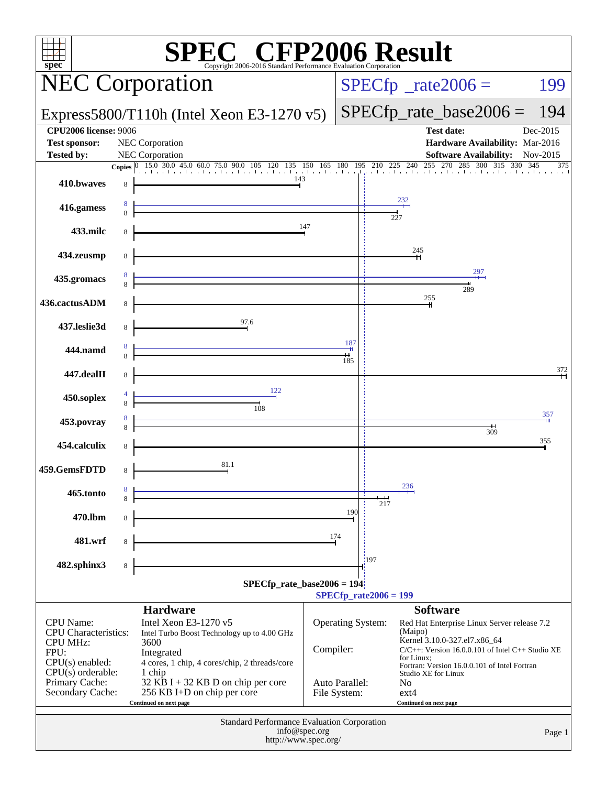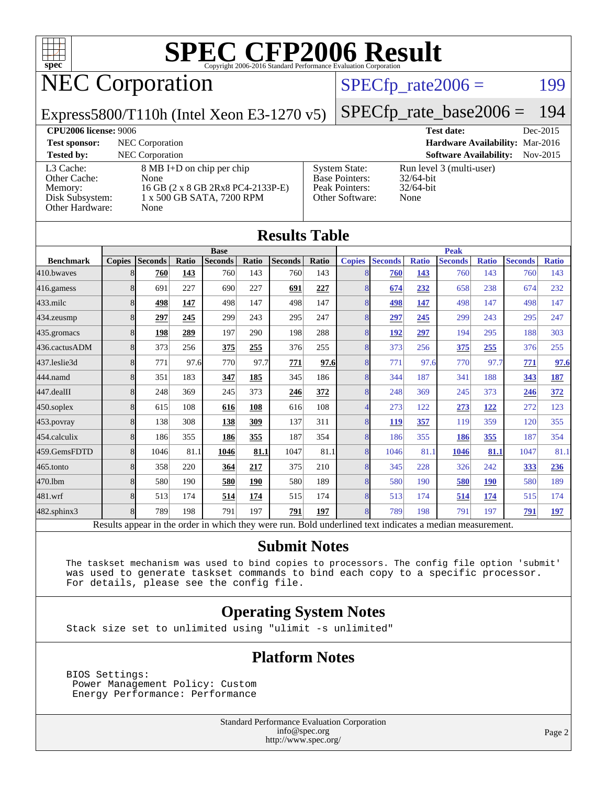

### NEC Corporation

#### $SPECTp_rate2006 = 199$

Express5800/T110h (Intel Xeon E3-1270 v5)

[SPECfp\\_rate\\_base2006 =](http://www.spec.org/auto/cpu2006/Docs/result-fields.html#SPECfpratebase2006) 194

#### **[CPU2006 license:](http://www.spec.org/auto/cpu2006/Docs/result-fields.html#CPU2006license)** 9006 **[Test date:](http://www.spec.org/auto/cpu2006/Docs/result-fields.html#Testdate)** Dec-2015 **[Test sponsor:](http://www.spec.org/auto/cpu2006/Docs/result-fields.html#Testsponsor)** NEC Corporation **[Hardware Availability:](http://www.spec.org/auto/cpu2006/Docs/result-fields.html#HardwareAvailability)** Mar-2016 **[Tested by:](http://www.spec.org/auto/cpu2006/Docs/result-fields.html#Testedby)** NEC Corporation **[Software Availability:](http://www.spec.org/auto/cpu2006/Docs/result-fields.html#SoftwareAvailability)** Nov-2015 [L3 Cache:](http://www.spec.org/auto/cpu2006/Docs/result-fields.html#L3Cache) 8 MB I+D on chip per chip<br>Other Cache: None [Other Cache:](http://www.spec.org/auto/cpu2006/Docs/result-fields.html#OtherCache) [Memory:](http://www.spec.org/auto/cpu2006/Docs/result-fields.html#Memory) 16 GB (2 x 8 GB 2Rx8 PC4-2133P-E) [Disk Subsystem:](http://www.spec.org/auto/cpu2006/Docs/result-fields.html#DiskSubsystem) 1 x 500 GB SATA, 7200 RPM [Other Hardware:](http://www.spec.org/auto/cpu2006/Docs/result-fields.html#OtherHardware) None [System State:](http://www.spec.org/auto/cpu2006/Docs/result-fields.html#SystemState) Run level 3 (multi-user)<br>Base Pointers: 32/64-bit [Base Pointers:](http://www.spec.org/auto/cpu2006/Docs/result-fields.html#BasePointers) [Peak Pointers:](http://www.spec.org/auto/cpu2006/Docs/result-fields.html#PeakPointers) 32/64-bit [Other Software:](http://www.spec.org/auto/cpu2006/Docs/result-fields.html#OtherSoftware) None

| <b>Results Table</b> |               |                                                                                                          |       |                |       |                |       |                |                |              |                |              |                |              |
|----------------------|---------------|----------------------------------------------------------------------------------------------------------|-------|----------------|-------|----------------|-------|----------------|----------------|--------------|----------------|--------------|----------------|--------------|
|                      | <b>Base</b>   |                                                                                                          |       |                |       | <b>Peak</b>    |       |                |                |              |                |              |                |              |
| <b>Benchmark</b>     | <b>Copies</b> | <b>Seconds</b>                                                                                           | Ratio | <b>Seconds</b> | Ratio | <b>Seconds</b> | Ratio | <b>Copies</b>  | <b>Seconds</b> | <b>Ratio</b> | <b>Seconds</b> | <b>Ratio</b> | <b>Seconds</b> | <b>Ratio</b> |
| 410.bwayes           | 8             | 760                                                                                                      | 143   | 760            | 143   | 760            | 143   | 8              | 760            | 143          | 760            | 143          | 760            | 143          |
| 416.gamess           | 8             | 691                                                                                                      | 227   | 690            | 227   | 691            | 227   | 8              | 674            | 232          | 658            | 238          | 674            | 232          |
| $433$ .milc          | 8             | 498                                                                                                      | 147   | 498            | 147   | 498            | 147   | 8              | 498            | 147          | 498            | 147          | 498            | 147          |
| 434.zeusmp           | 8             | 297                                                                                                      | 245   | 299            | 243   | 295            | 247   | 8              | 297            | 245          | 299            | 243          | 295            | 247          |
| 435.gromacs          | 8             | 198                                                                                                      | 289   | 197            | 290   | 198            | 288   | 8              | 192            | 297          | 194            | 295          | 188            | 303          |
| 436.cactusADM        | 8             | 373                                                                                                      | 256   | 375            | 255   | 376            | 255   | 8              | 373            | 256          | 375            | 255          | 376            | 255          |
| 437.leslie3d         | 8             | 771                                                                                                      | 97.6  | 770            | 97.7  | 771            | 97.6  | 8              | 771            | 97.6         | 770            | 97.7         | 771            | 97.6         |
| 444.namd             | 8             | 351                                                                                                      | 183   | 347            | 185   | 345            | 186   | 8              | 344            | 187          | 341            | 188          | 343            | <b>187</b>   |
| 447.dealII           | 8             | 248                                                                                                      | 369   | 245            | 373   | 246            | 372   | 8              | 248            | 369          | 245            | 373          | 246            | 372          |
| $450$ .soplex        | 8             | 615                                                                                                      | 108   | 616            | 108   | 616            | 108   | 4              | 273            | 122          | 273            | 122          | 272            | 123          |
| 453.povray           | 8             | 138                                                                                                      | 308   | 138            | 309   | 137            | 311   | 8              | 119            | 357          | 119            | 359          | 120            | 355          |
| 454.calculix         | 8             | 186                                                                                                      | 355   | 186            | 355   | 187            | 354   | 8              | 186            | 355          | 186            | 355          | 187            | 354          |
| 459.GemsFDTD         | 8             | 1046                                                                                                     | 81.1  | 1046           | 81.1  | 1047           | 81.1  | 8              | 1046           | 81.1         | 1046           | 81.1         | 1047           | 81.1         |
| 465.tonto            | 8             | 358                                                                                                      | 220   | 364            | 217   | 375            | 210   | 8              | 345            | 228          | 326            | 242          | 333            | 236          |
| 470.1bm              | 8             | 580                                                                                                      | 190   | 580            | 190   | 580            | 189   | $\overline{8}$ | 580            | 190          | 580            | 190          | 580            | 189          |
| 481.wrf              | 8             | 513                                                                                                      | 174   | 514            | 174   | 515            | 174   | 8              | 513            | 174          | 514            | 174          | 515            | 174          |
| 482.sphinx3          | 8             | 789                                                                                                      | 198   | 791            | 197   | 791            | 197   | 8              | 789            | 198          | 791            | 197          | 791            | <u>197</u>   |
|                      |               | Results appear in the order in which they were run. Bold underlined text indicates a median measurement. |       |                |       |                |       |                |                |              |                |              |                |              |

#### **[Submit Notes](http://www.spec.org/auto/cpu2006/Docs/result-fields.html#SubmitNotes)**

 The taskset mechanism was used to bind copies to processors. The config file option 'submit' was used to generate taskset commands to bind each copy to a specific processor. For details, please see the config file.

#### **[Operating System Notes](http://www.spec.org/auto/cpu2006/Docs/result-fields.html#OperatingSystemNotes)**

Stack size set to unlimited using "ulimit -s unlimited"

#### **[Platform Notes](http://www.spec.org/auto/cpu2006/Docs/result-fields.html#PlatformNotes)**

 BIOS Settings: Power Management Policy: Custom Energy Performance: Performance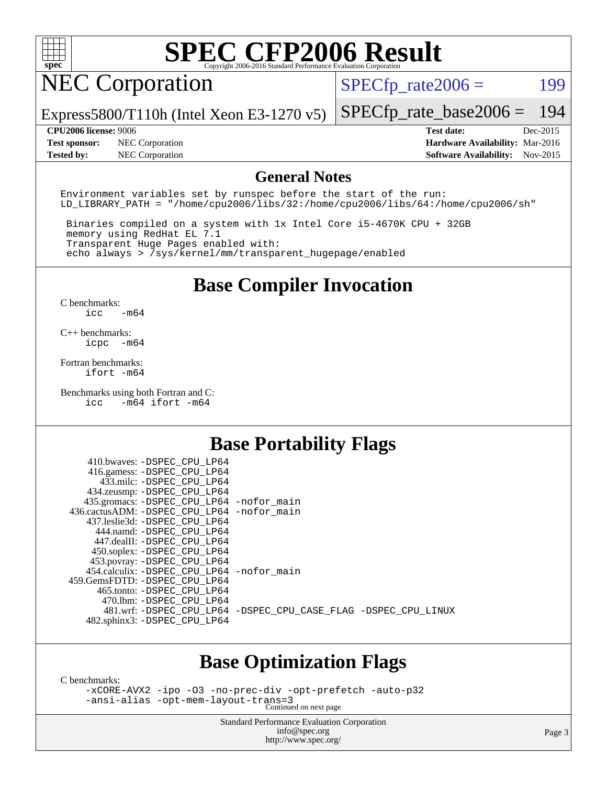

### NEC Corporation

 $SPECTp_rate2006 = 199$ 

Express5800/T110h (Intel Xeon E3-1270 v5)

**[Tested by:](http://www.spec.org/auto/cpu2006/Docs/result-fields.html#Testedby)** NEC Corporation **[Software Availability:](http://www.spec.org/auto/cpu2006/Docs/result-fields.html#SoftwareAvailability)** Nov-2015

**[CPU2006 license:](http://www.spec.org/auto/cpu2006/Docs/result-fields.html#CPU2006license)** 9006 **[Test date:](http://www.spec.org/auto/cpu2006/Docs/result-fields.html#Testdate)** Dec-2015 **[Test sponsor:](http://www.spec.org/auto/cpu2006/Docs/result-fields.html#Testsponsor)** NEC Corporation **[Hardware Availability:](http://www.spec.org/auto/cpu2006/Docs/result-fields.html#HardwareAvailability)** Mar-2016

[SPECfp\\_rate\\_base2006 =](http://www.spec.org/auto/cpu2006/Docs/result-fields.html#SPECfpratebase2006) 194

#### **[General Notes](http://www.spec.org/auto/cpu2006/Docs/result-fields.html#GeneralNotes)**

Environment variables set by runspec before the start of the run: LD LIBRARY PATH = "/home/cpu2006/libs/32:/home/cpu2006/libs/64:/home/cpu2006/sh"

 Binaries compiled on a system with 1x Intel Core i5-4670K CPU + 32GB memory using RedHat EL 7.1 Transparent Huge Pages enabled with: echo always > /sys/kernel/mm/transparent\_hugepage/enabled

#### **[Base Compiler Invocation](http://www.spec.org/auto/cpu2006/Docs/result-fields.html#BaseCompilerInvocation)**

[C benchmarks](http://www.spec.org/auto/cpu2006/Docs/result-fields.html#Cbenchmarks): [icc -m64](http://www.spec.org/cpu2006/results/res2016q1/cpu2006-20160125-38822.flags.html#user_CCbase_intel_icc_64bit_0b7121f5ab7cfabee23d88897260401c)

[C++ benchmarks:](http://www.spec.org/auto/cpu2006/Docs/result-fields.html#CXXbenchmarks) [icpc -m64](http://www.spec.org/cpu2006/results/res2016q1/cpu2006-20160125-38822.flags.html#user_CXXbase_intel_icpc_64bit_bedb90c1146cab66620883ef4f41a67e)

[Fortran benchmarks](http://www.spec.org/auto/cpu2006/Docs/result-fields.html#Fortranbenchmarks): [ifort -m64](http://www.spec.org/cpu2006/results/res2016q1/cpu2006-20160125-38822.flags.html#user_FCbase_intel_ifort_64bit_ee9d0fb25645d0210d97eb0527dcc06e)

[Benchmarks using both Fortran and C](http://www.spec.org/auto/cpu2006/Docs/result-fields.html#BenchmarksusingbothFortranandC): [icc -m64](http://www.spec.org/cpu2006/results/res2016q1/cpu2006-20160125-38822.flags.html#user_CC_FCbase_intel_icc_64bit_0b7121f5ab7cfabee23d88897260401c) [ifort -m64](http://www.spec.org/cpu2006/results/res2016q1/cpu2006-20160125-38822.flags.html#user_CC_FCbase_intel_ifort_64bit_ee9d0fb25645d0210d97eb0527dcc06e)

#### **[Base Portability Flags](http://www.spec.org/auto/cpu2006/Docs/result-fields.html#BasePortabilityFlags)**

| 410.bwaves: -DSPEC CPU LP64<br>416.gamess: -DSPEC_CPU_LP64 |                                                                |
|------------------------------------------------------------|----------------------------------------------------------------|
| 433.milc: -DSPEC CPU LP64                                  |                                                                |
| 434.zeusmp: -DSPEC_CPU_LP64                                |                                                                |
| 435.gromacs: -DSPEC_CPU_LP64 -nofor_main                   |                                                                |
| 436.cactusADM: -DSPEC CPU LP64 -nofor main                 |                                                                |
| 437.leslie3d: -DSPEC CPU LP64                              |                                                                |
| 444.namd: - DSPEC CPU LP64                                 |                                                                |
| 447.dealII: -DSPEC_CPU_LP64                                |                                                                |
| 450.soplex: -DSPEC_CPU_LP64                                |                                                                |
| 453.povray: -DSPEC_CPU_LP64                                |                                                                |
| 454.calculix: -DSPEC_CPU_LP64 -nofor_main                  |                                                                |
| 459. GemsFDTD: - DSPEC CPU LP64                            |                                                                |
| 465.tonto: - DSPEC CPU LP64                                |                                                                |
| 470.1bm: - DSPEC CPU LP64                                  |                                                                |
|                                                            | 481.wrf: -DSPEC CPU_LP64 -DSPEC_CPU_CASE_FLAG -DSPEC_CPU_LINUX |
| 482.sphinx3: -DSPEC_CPU_LP64                               |                                                                |
|                                                            |                                                                |

#### **[Base Optimization Flags](http://www.spec.org/auto/cpu2006/Docs/result-fields.html#BaseOptimizationFlags)**

[C benchmarks](http://www.spec.org/auto/cpu2006/Docs/result-fields.html#Cbenchmarks):

[-xCORE-AVX2](http://www.spec.org/cpu2006/results/res2016q1/cpu2006-20160125-38822.flags.html#user_CCbase_f-xAVX2_5f5fc0cbe2c9f62c816d3e45806c70d7) [-ipo](http://www.spec.org/cpu2006/results/res2016q1/cpu2006-20160125-38822.flags.html#user_CCbase_f-ipo) [-O3](http://www.spec.org/cpu2006/results/res2016q1/cpu2006-20160125-38822.flags.html#user_CCbase_f-O3) [-no-prec-div](http://www.spec.org/cpu2006/results/res2016q1/cpu2006-20160125-38822.flags.html#user_CCbase_f-no-prec-div) [-opt-prefetch](http://www.spec.org/cpu2006/results/res2016q1/cpu2006-20160125-38822.flags.html#user_CCbase_f-opt-prefetch) [-auto-p32](http://www.spec.org/cpu2006/results/res2016q1/cpu2006-20160125-38822.flags.html#user_CCbase_f-auto-p32) [-ansi-alias](http://www.spec.org/cpu2006/results/res2016q1/cpu2006-20160125-38822.flags.html#user_CCbase_f-ansi-alias) [-opt-mem-layout-trans=3](http://www.spec.org/cpu2006/results/res2016q1/cpu2006-20160125-38822.flags.html#user_CCbase_f-opt-mem-layout-trans_a7b82ad4bd7abf52556d4961a2ae94d5) Continued on next page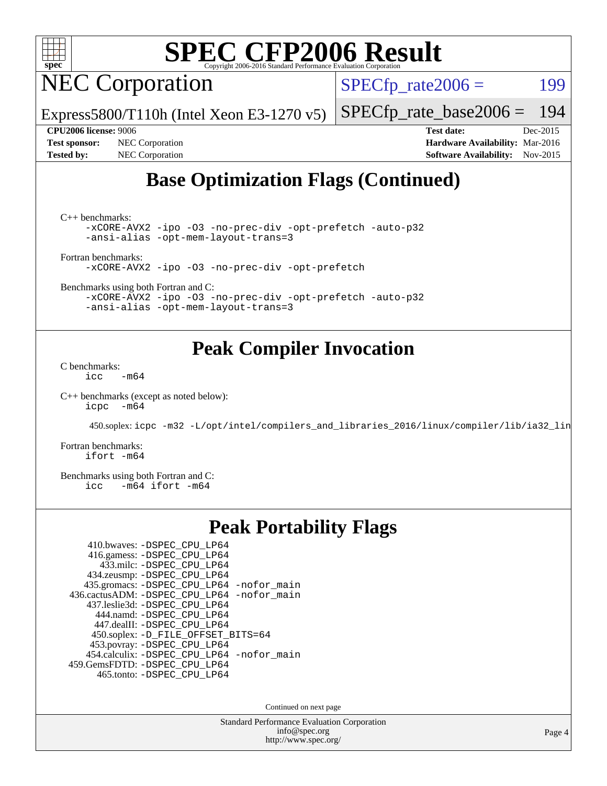

**NEC Corporation** 

 $SPECTp_rate2006 = 199$ 

Express5800/T110h (Intel Xeon E3-1270 v5)

[SPECfp\\_rate\\_base2006 =](http://www.spec.org/auto/cpu2006/Docs/result-fields.html#SPECfpratebase2006) 194

**[CPU2006 license:](http://www.spec.org/auto/cpu2006/Docs/result-fields.html#CPU2006license)** 9006 **[Test date:](http://www.spec.org/auto/cpu2006/Docs/result-fields.html#Testdate)** Dec-2015 **[Test sponsor:](http://www.spec.org/auto/cpu2006/Docs/result-fields.html#Testsponsor)** NEC Corporation **[Hardware Availability:](http://www.spec.org/auto/cpu2006/Docs/result-fields.html#HardwareAvailability)** Mar-2016 **[Tested by:](http://www.spec.org/auto/cpu2006/Docs/result-fields.html#Testedby)** NEC Corporation **[Software Availability:](http://www.spec.org/auto/cpu2006/Docs/result-fields.html#SoftwareAvailability)** Nov-2015

### **[Base Optimization Flags \(Continued\)](http://www.spec.org/auto/cpu2006/Docs/result-fields.html#BaseOptimizationFlags)**

[C++ benchmarks:](http://www.spec.org/auto/cpu2006/Docs/result-fields.html#CXXbenchmarks)

[-xCORE-AVX2](http://www.spec.org/cpu2006/results/res2016q1/cpu2006-20160125-38822.flags.html#user_CXXbase_f-xAVX2_5f5fc0cbe2c9f62c816d3e45806c70d7) [-ipo](http://www.spec.org/cpu2006/results/res2016q1/cpu2006-20160125-38822.flags.html#user_CXXbase_f-ipo) [-O3](http://www.spec.org/cpu2006/results/res2016q1/cpu2006-20160125-38822.flags.html#user_CXXbase_f-O3) [-no-prec-div](http://www.spec.org/cpu2006/results/res2016q1/cpu2006-20160125-38822.flags.html#user_CXXbase_f-no-prec-div) [-opt-prefetch](http://www.spec.org/cpu2006/results/res2016q1/cpu2006-20160125-38822.flags.html#user_CXXbase_f-opt-prefetch) [-auto-p32](http://www.spec.org/cpu2006/results/res2016q1/cpu2006-20160125-38822.flags.html#user_CXXbase_f-auto-p32) [-ansi-alias](http://www.spec.org/cpu2006/results/res2016q1/cpu2006-20160125-38822.flags.html#user_CXXbase_f-ansi-alias) [-opt-mem-layout-trans=3](http://www.spec.org/cpu2006/results/res2016q1/cpu2006-20160125-38822.flags.html#user_CXXbase_f-opt-mem-layout-trans_a7b82ad4bd7abf52556d4961a2ae94d5)

[Fortran benchmarks](http://www.spec.org/auto/cpu2006/Docs/result-fields.html#Fortranbenchmarks):

[-xCORE-AVX2](http://www.spec.org/cpu2006/results/res2016q1/cpu2006-20160125-38822.flags.html#user_FCbase_f-xAVX2_5f5fc0cbe2c9f62c816d3e45806c70d7) [-ipo](http://www.spec.org/cpu2006/results/res2016q1/cpu2006-20160125-38822.flags.html#user_FCbase_f-ipo) [-O3](http://www.spec.org/cpu2006/results/res2016q1/cpu2006-20160125-38822.flags.html#user_FCbase_f-O3) [-no-prec-div](http://www.spec.org/cpu2006/results/res2016q1/cpu2006-20160125-38822.flags.html#user_FCbase_f-no-prec-div) [-opt-prefetch](http://www.spec.org/cpu2006/results/res2016q1/cpu2006-20160125-38822.flags.html#user_FCbase_f-opt-prefetch)

[Benchmarks using both Fortran and C](http://www.spec.org/auto/cpu2006/Docs/result-fields.html#BenchmarksusingbothFortranandC):

[-xCORE-AVX2](http://www.spec.org/cpu2006/results/res2016q1/cpu2006-20160125-38822.flags.html#user_CC_FCbase_f-xAVX2_5f5fc0cbe2c9f62c816d3e45806c70d7) [-ipo](http://www.spec.org/cpu2006/results/res2016q1/cpu2006-20160125-38822.flags.html#user_CC_FCbase_f-ipo) [-O3](http://www.spec.org/cpu2006/results/res2016q1/cpu2006-20160125-38822.flags.html#user_CC_FCbase_f-O3) [-no-prec-div](http://www.spec.org/cpu2006/results/res2016q1/cpu2006-20160125-38822.flags.html#user_CC_FCbase_f-no-prec-div) [-opt-prefetch](http://www.spec.org/cpu2006/results/res2016q1/cpu2006-20160125-38822.flags.html#user_CC_FCbase_f-opt-prefetch) [-auto-p32](http://www.spec.org/cpu2006/results/res2016q1/cpu2006-20160125-38822.flags.html#user_CC_FCbase_f-auto-p32) [-ansi-alias](http://www.spec.org/cpu2006/results/res2016q1/cpu2006-20160125-38822.flags.html#user_CC_FCbase_f-ansi-alias) [-opt-mem-layout-trans=3](http://www.spec.org/cpu2006/results/res2016q1/cpu2006-20160125-38822.flags.html#user_CC_FCbase_f-opt-mem-layout-trans_a7b82ad4bd7abf52556d4961a2ae94d5)

#### **[Peak Compiler Invocation](http://www.spec.org/auto/cpu2006/Docs/result-fields.html#PeakCompilerInvocation)**

[C benchmarks](http://www.spec.org/auto/cpu2006/Docs/result-fields.html#Cbenchmarks):  $\text{icc}$  -m64

[C++ benchmarks \(except as noted below\):](http://www.spec.org/auto/cpu2006/Docs/result-fields.html#CXXbenchmarksexceptasnotedbelow) [icpc -m64](http://www.spec.org/cpu2006/results/res2016q1/cpu2006-20160125-38822.flags.html#user_CXXpeak_intel_icpc_64bit_bedb90c1146cab66620883ef4f41a67e)

450.soplex: [icpc -m32 -L/opt/intel/compilers\\_and\\_libraries\\_2016/linux/compiler/lib/ia32\\_lin](http://www.spec.org/cpu2006/results/res2016q1/cpu2006-20160125-38822.flags.html#user_peakCXXLD450_soplex_intel_icpc_b4f50a394bdb4597aa5879c16bc3f5c5)

[Fortran benchmarks](http://www.spec.org/auto/cpu2006/Docs/result-fields.html#Fortranbenchmarks): [ifort -m64](http://www.spec.org/cpu2006/results/res2016q1/cpu2006-20160125-38822.flags.html#user_FCpeak_intel_ifort_64bit_ee9d0fb25645d0210d97eb0527dcc06e)

[Benchmarks using both Fortran and C](http://www.spec.org/auto/cpu2006/Docs/result-fields.html#BenchmarksusingbothFortranandC):<br>icc -m64 ifort -m64  $-m64$  ifort  $-m64$ 

#### **[Peak Portability Flags](http://www.spec.org/auto/cpu2006/Docs/result-fields.html#PeakPortabilityFlags)**

| 410.bwaves: -DSPEC CPU LP64                |
|--------------------------------------------|
| 416.gamess: -DSPEC_CPU_LP64                |
| 433.milc: -DSPEC CPU LP64                  |
| 434.zeusmp: -DSPEC_CPU_LP64                |
| 435.gromacs: -DSPEC_CPU_LP64 -nofor_main   |
| 436.cactusADM: -DSPEC_CPU_LP64 -nofor_main |
| 437.leslie3d: -DSPEC CPU LP64              |
| 444.namd: -DSPEC CPU LP64                  |
| 447.dealII: -DSPEC_CPU_LP64                |
| 450.soplex: -D_FILE_OFFSET_BITS=64         |
| 453.povray: -DSPEC_CPU_LP64                |
| 454.calculix: -DSPEC_CPU_LP64 -nofor_main  |
| 459.GemsFDTD: -DSPEC_CPU_LP64              |
| 465.tonto: - DSPEC CPU LP64                |

Continued on next page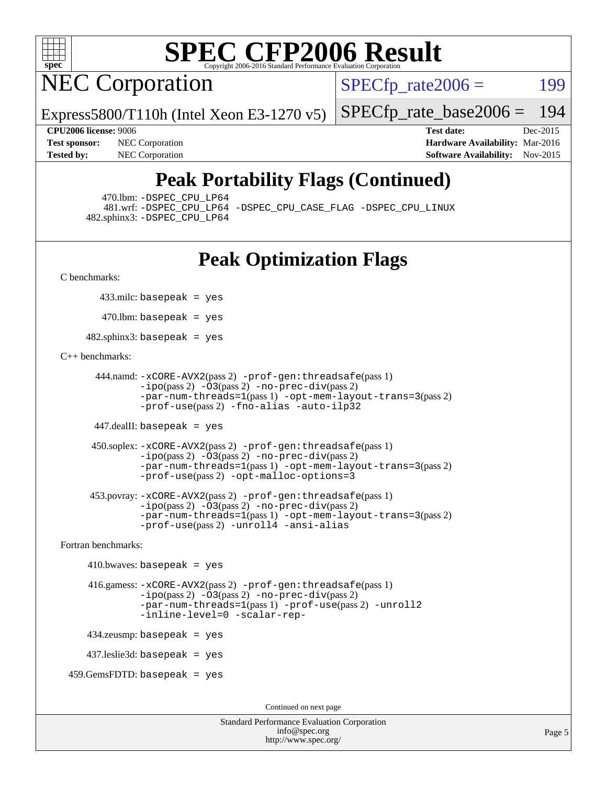

NEC Corporation

 $SPECTp\_rate2006 = 199$ 

[SPECfp\\_rate\\_base2006 =](http://www.spec.org/auto/cpu2006/Docs/result-fields.html#SPECfpratebase2006) 194

Express5800/T110h (Intel Xeon E3-1270 v5)

**[CPU2006 license:](http://www.spec.org/auto/cpu2006/Docs/result-fields.html#CPU2006license)** 9006 **[Test date:](http://www.spec.org/auto/cpu2006/Docs/result-fields.html#Testdate)** Dec-2015 **[Test sponsor:](http://www.spec.org/auto/cpu2006/Docs/result-fields.html#Testsponsor)** NEC Corporation **NEC Corporation [Hardware Availability:](http://www.spec.org/auto/cpu2006/Docs/result-fields.html#HardwareAvailability)** Mar-2016 **[Tested by:](http://www.spec.org/auto/cpu2006/Docs/result-fields.html#Testedby)** NEC Corporation **[Software Availability:](http://www.spec.org/auto/cpu2006/Docs/result-fields.html#SoftwareAvailability)** Nov-2015

### **[Peak Portability Flags \(Continued\)](http://www.spec.org/auto/cpu2006/Docs/result-fields.html#PeakPortabilityFlags)**

470.lbm: [-DSPEC\\_CPU\\_LP64](http://www.spec.org/cpu2006/results/res2016q1/cpu2006-20160125-38822.flags.html#suite_peakPORTABILITY470_lbm_DSPEC_CPU_LP64)

 481.wrf: [-DSPEC\\_CPU\\_LP64](http://www.spec.org/cpu2006/results/res2016q1/cpu2006-20160125-38822.flags.html#suite_peakPORTABILITY481_wrf_DSPEC_CPU_LP64) [-DSPEC\\_CPU\\_CASE\\_FLAG](http://www.spec.org/cpu2006/results/res2016q1/cpu2006-20160125-38822.flags.html#b481.wrf_peakCPORTABILITY_DSPEC_CPU_CASE_FLAG) [-DSPEC\\_CPU\\_LINUX](http://www.spec.org/cpu2006/results/res2016q1/cpu2006-20160125-38822.flags.html#b481.wrf_peakCPORTABILITY_DSPEC_CPU_LINUX) 482.sphinx3: [-DSPEC\\_CPU\\_LP64](http://www.spec.org/cpu2006/results/res2016q1/cpu2006-20160125-38822.flags.html#suite_peakPORTABILITY482_sphinx3_DSPEC_CPU_LP64)

### **[Peak Optimization Flags](http://www.spec.org/auto/cpu2006/Docs/result-fields.html#PeakOptimizationFlags)**

[C benchmarks](http://www.spec.org/auto/cpu2006/Docs/result-fields.html#Cbenchmarks):

433.milc: basepeak = yes

 $470$ .lbm: basepeak = yes

482.sphinx3: basepeak = yes

#### [C++ benchmarks:](http://www.spec.org/auto/cpu2006/Docs/result-fields.html#CXXbenchmarks)

```
 444.namd: -xCORE-AVX2(pass 2) -prof-gen:threadsafe(pass 1)
        -ipo(pass 2) -O3(pass 2) -no-prec-div(pass 2)
        -par-num-threads=1(pass 1) -opt-mem-layout-trans=3(pass 2)
        -prof-use(pass 2) -fno-alias -auto-ilp32
```
447.dealII: basepeak = yes

```
 450.soplex: -xCORE-AVX2(pass 2) -prof-gen:threadsafe(pass 1)
         -ipo(pass 2) -O3(pass 2) -no-prec-div(pass 2)
         -par-num-threads=1(pass 1) -opt-mem-layout-trans=3(pass 2)
         -prof-use(pass 2) -opt-malloc-options=3
```

```
 453.povray: -xCORE-AVX2(pass 2) -prof-gen:threadsafe(pass 1)
        -no-prec-div(pass 2)-par-num-threads=1(pass 1) -opt-mem-layout-trans=3(pass 2)
        -prof-use(pass 2) -unroll4 -ansi-alias
```
[Fortran benchmarks](http://www.spec.org/auto/cpu2006/Docs/result-fields.html#Fortranbenchmarks):

```
410.bwaves: basepeak = yes 416.gamess: -xCORE-AVX2(pass 2) -prof-gen:threadsafe(pass 1)
              -i\text{po}(pass 2) -\overline{O}3(pass 2)-no-prec-div(pass 2)
              -par-num-threads=1(pass 1) -prof-use(pass 2) -unroll2
              -inline-level=0 -scalar-rep-
    434.zeusmp: basepeak = yes
    437.leslie3d: basepeak = yes
459.GemsFDTD: basepeak = yes
```
Continued on next page